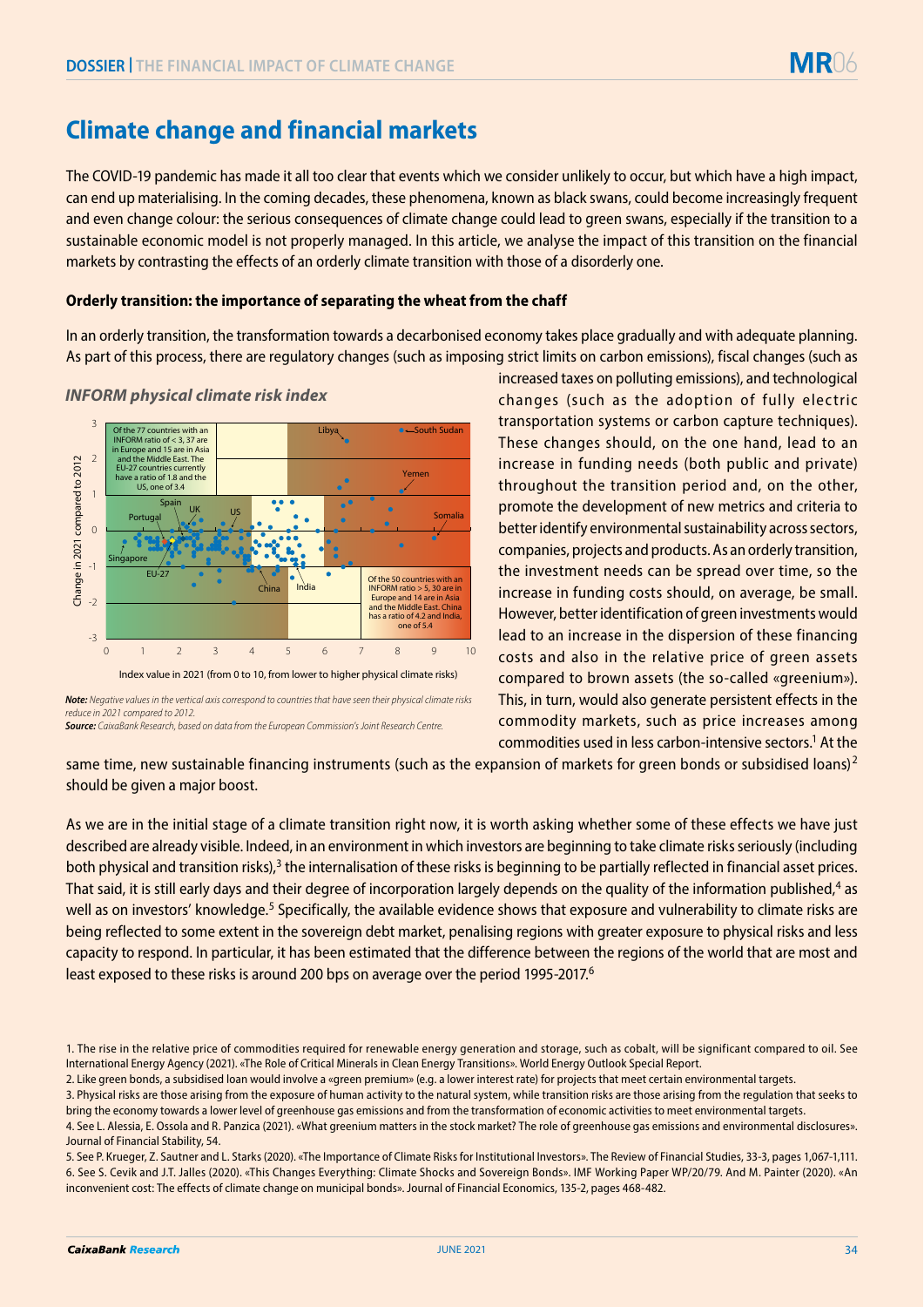# **Climate change and financial markets**

The COVID-19 pandemic has made it all too clear that events which we consider unlikely to occur, but which have a high impact, can end up materialising. In the coming decades, these phenomena, known as black swans, could become increasingly frequent and even change colour: the serious consequences of climate change could lead to green swans, especially if the transition to a sustainable economic model is not properly managed. In this article, we analyse the impact of this transition on the financial markets by contrasting the effects of an orderly climate transition with those of a disorderly one.

# **Orderly transition: the importance of separating the wheat from the chaff**

In an orderly transition, the transformation towards a decarbonised economy takes place gradually and with adequate planning. As part of this process, there are regulatory changes (such as imposing strict limits on carbon emissions), fiscal changes (such as



### *INFORM physical climate risk index*

increased taxes on polluting emissions), and technological changes (such as the adoption of fully electric transportation systems or carbon capture techniques). These changes should, on the one hand, lead to an increase in funding needs (both public and private) throughout the transition period and, on the other, promote the development of new metrics and criteria to better identify environmental sustainability across sectors, companies, projects and products. As an orderly transition, the investment needs can be spread over time, so the increase in funding costs should, on average, be small. However, better identification of green investments would lead to an increase in the dispersion of these financing costs and also in the relative price of green assets compared to brown assets (the so-called «greenium»). This, in turn, would also generate persistent effects in the commodity markets, such as price increases among commodities used in less carbon-intensive sectors.<sup>1</sup> At the

same time, new sustainable financing instruments (such as the expansion of markets for green bonds or subsidised loans)<sup>2</sup> should be given a major boost.

As we are in the initial stage of a climate transition right now, it is worth asking whether some of these effects we have just described are already visible. Indeed, in an environment in which investors are beginning to take climate risks seriously (including both physical and transition risks), $3$  the internalisation of these risks is beginning to be partially reflected in financial asset prices. That said, it is still early days and their degree of incorporation largely depends on the quality of the information published,<sup>4</sup> as well as on investors' knowledge.<sup>5</sup> Specifically, the available evidence shows that exposure and vulnerability to climate risks are being reflected to some extent in the sovereign debt market, penalising regions with greater exposure to physical risks and less capacity to respond. In particular, it has been estimated that the difference between the regions of the world that are most and least exposed to these risks is around 200 bps on average over the period 1995-2017.6

Index value in 2021 (from 0 to 10, from lower to higher physical climate risks)

*Note: Negative values in the vertical axis correspond to countries that have seen their physical climate risks reduce in 2021 compared to 2012. Source: CaixaBank Research, based on data from the European Commission's Joint Research Centre.*

<sup>1.</sup> The rise in the relative price of commodities required for renewable energy generation and storage, such as cobalt, will be significant compared to oil. See International Energy Agency (2021). «The Role of Critical Minerals in Clean Energy Transitions». World Energy Outlook Special Report.

<sup>2.</sup> Like green bonds, a subsidised loan would involve a «green premium» (e.g. a lower interest rate) for projects that meet certain environmental targets.

<sup>3.</sup> Physical risks are those arising from the exposure of human activity to the natural system, while transition risks are those arising from the regulation that seeks to bring the economy towards a lower level of greenhouse gas emissions and from the transformation of economic activities to meet environmental targets.

<sup>4.</sup> See L. Alessia, E. Ossola and R. Panzica (2021). «What greenium matters in the stock market? The role of greenhouse gas emissions and environmental disclosures». Journal of Financial Stability, 54.

<sup>5.</sup> See P. Krueger, Z. Sautner and L. Starks (2020). «The Importance of Climate Risks for Institutional Investors». The Review of Financial Studies, 33-3, pages 1,067-1,111. 6. See S. Cevik and J.T. Jalles (2020). «This Changes Everything: Climate Shocks and Sovereign Bonds». IMF Working Paper WP/20/79. And M. Painter (2020). «An inconvenient cost: The effects of climate change on municipal bonds». Journal of Financial Economics, 135-2, pages 468-482.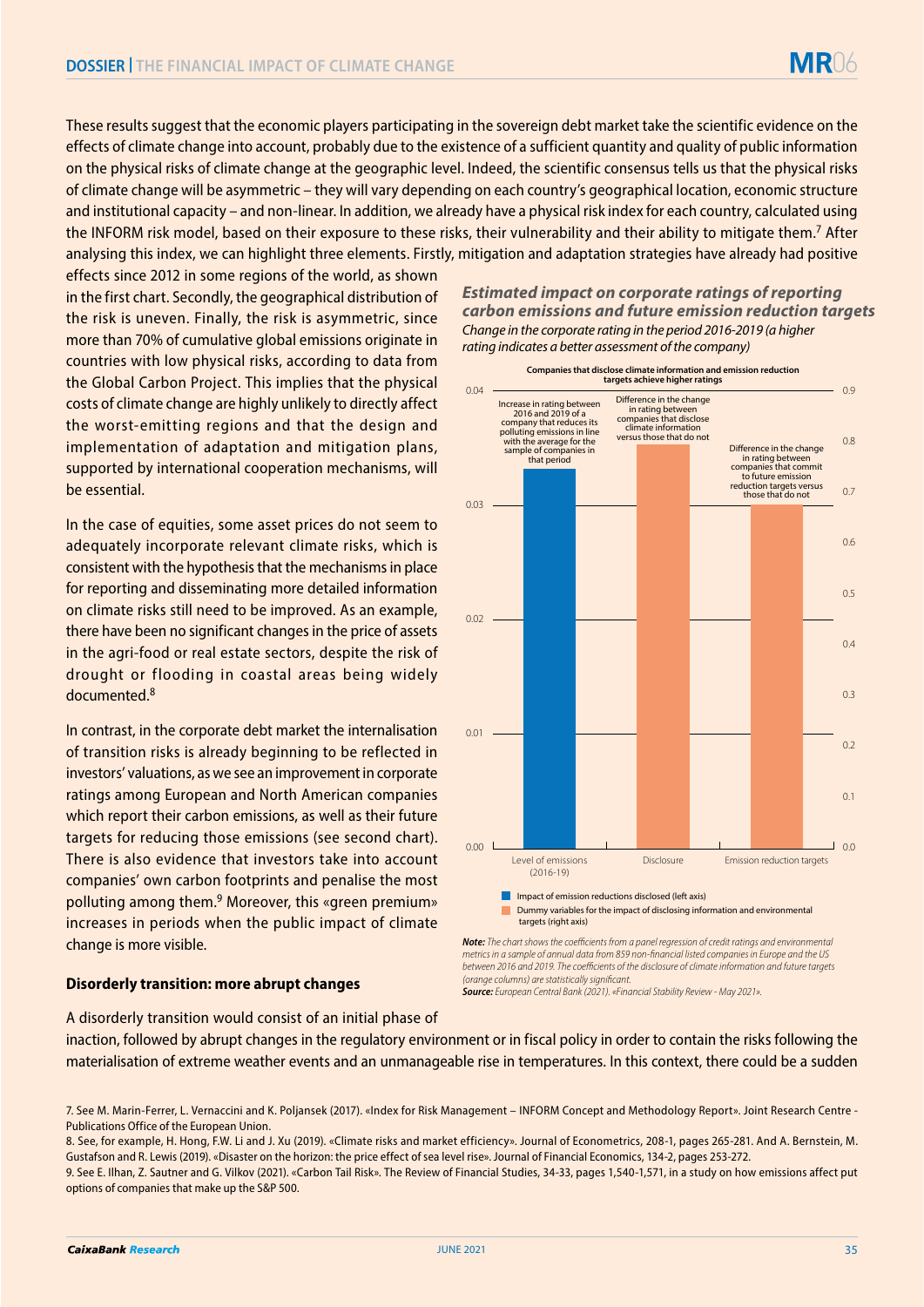These results suggest that the economic players participating in the sovereign debt market take the scientific evidence on the effects of climate change into account, probably due to the existence of a sufficient quantity and quality of public information on the physical risks of climate change at the geographic level. Indeed, the scientific consensus tells us that the physical risks of climate change will be asymmetric – they will vary depending on each country's geographical location, economic structure and institutional capacity – and non-linear. In addition, we already have a physical risk index for each country, calculated using the INFORM risk model, based on their exposure to these risks, their vulnerability and their ability to mitigate them.7 After analysing this index, we can highlight three elements. Firstly, mitigation and adaptation strategies have already had positive

effects since 2012 in some regions of the world, as shown in the first chart. Secondly, the geographical distribution of the risk is uneven. Finally, the risk is asymmetric, since more than 70% of cumulative global emissions originate in countries with low physical risks, according to data from the Global Carbon Project. This implies that the physical costs of climate change are highly unlikely to directly affect the worst-emitting regions and that the design and implementation of adaptation and mitigation plans, supported by international cooperation mechanisms, will be essential.

In the case of equities, some asset prices do not seem to adequately incorporate relevant climate risks, which is consistent with the hypothesis that the mechanisms in place for reporting and disseminating more detailed information on climate risks still need to be improved. As an example, there have been no significant changes in the price of assets in the agri-food or real estate sectors, despite the risk of drought or flooding in coastal areas being widely documented.8

In contrast, in the corporate debt market the internalisation of transition risks is already beginning to be reflected in investors' valuations, as we see an improvement in corporate ratings among European and North American companies which report their carbon emissions, as well as their future targets for reducing those emissions (see second chart). There is also evidence that investors take into account companies' own carbon footprints and penalise the most polluting among them.9 Moreover, this «green premium» increases in periods when the public impact of climate change is more visible.

#### **Disorderly transition: more abrupt changes**

*Estimated impact on corporate ratings of reporting carbon emissions and future emission reduction targets Change in the corporate rating in the period 2016-2019 (a higher rating indicates a better assessment of the company)*

MR06



**Note:** The chart shows the coefficients from a panel regression of credit ratings and environmental *metrics in a sample of annual data from 859 non-nancial listed companies in Europe and the US*  between 2016 and 2019. The coefficients of the disclosure of climate information and future targets *(orange columns) are statistically signicant.*

*Source: European Central Bank (2021). «Financial Stability Review - May 2021».*

A disorderly transition would consist of an initial phase of inaction, followed by abrupt changes in the regulatory environment or in fiscal policy in order to contain the risks following the materialisation of extreme weather events and an unmanageable rise in temperatures. In this context, there could be a sudden

<sup>7.</sup> See M. Marin-Ferrer, L. Vernaccini and K. Poljansek (2017). «Index for Risk Management – INFORM Concept and Methodology Report». Joint Research Centre - Publications Office of the European Union.

<sup>8.</sup> See, for example, H. Hong, F.W. Li and J. Xu (2019). «Climate risks and market efficiency». Journal of Econometrics, 208-1, pages 265-281. And A. Bernstein, M. Gustafson and R. Lewis (2019). «Disaster on the horizon: the price effect of sea level rise». Journal of Financial Economics, 134-2, pages 253-272. 9. See E. Ilhan, Z. Sautner and G. Vilkov (2021). «Carbon Tail Risk». The Review of Financial Studies, 34-33, pages 1,540-1,571, in a study on how emissions affect put options of companies that make up the S&P 500.